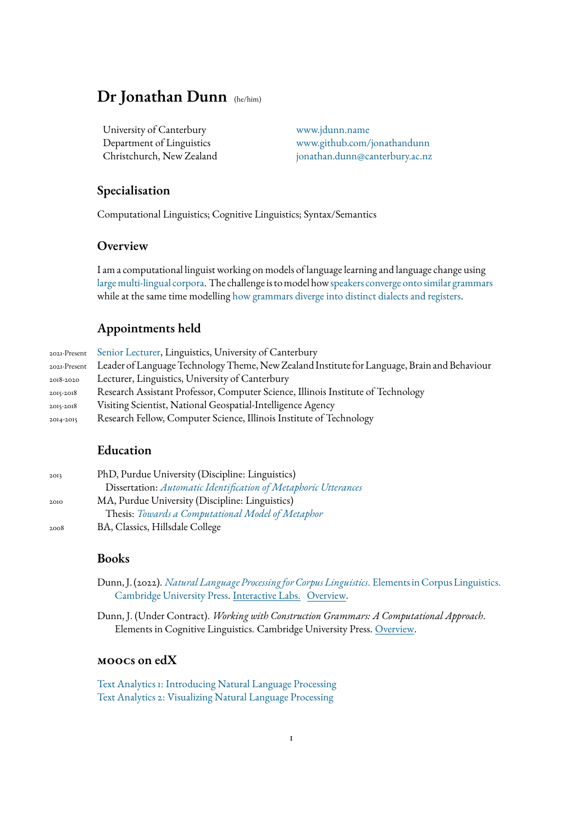### **Dr Jonathan Dunn** (he/him)

University of Canterbury [www.jdunn.name](https://www.jdunn.name)

Department of Linguistics [www.github.com/jonathandunn](https://github.com/jonathandunn) Christchurch, New Zealand [jonathan.dunn@canterbury.ac.nz](mailto:jonathan.dunn@canterbury.ac.nz)

### **Specialisation**

Computational Linguistics; Cognitive Linguistics; Syntax/Semantics

### **Overview**

I am a computational linguist working on models of language learning and language change using [large multi-lingual corpora.](https://www.earthlings.io) The challenge is to model how[speakers converge onto similar grammars](https://jdunn.name/2021/10/13/construction-grammars-converge-given-increased-exposure/) while at the same time modelling [how grammars diverge into distinct dialects and registers.](https://jdunn.name/2019/07/22/global-syntactic-variation-in-seven-languages-towards-a-computational-dialectology/)

### **Appointments held**

|           | 2021-Present Senior Lecturer, Linguistics, University of Canterbury                                       |
|-----------|-----------------------------------------------------------------------------------------------------------|
|           | 2021-Present Leader of Language Technology Theme, New Zealand Institute for Language, Brain and Behaviour |
| 2018-2020 | Lecturer, Linguistics, University of Canterbury                                                           |
| 2015-2018 | Research Assistant Professor, Computer Science, Illinois Institute of Technology                          |
| 2015-2018 | Visiting Scientist, National Geospatial-Intelligence Agency                                               |
| 2014-2015 | Research Fellow, Computer Science, Illinois Institute of Technology                                       |

### **Education**

| 2013 | PhD, Purdue University (Discipline: Linguistics)                |  |  |  |  |
|------|-----------------------------------------------------------------|--|--|--|--|
|      | Dissertation: Automatic Identification of Metaphoric Utterances |  |  |  |  |
| 2010 | MA, Purdue University (Discipline: Linguistics)                 |  |  |  |  |
|      | Thesis: Towards a Computational Model of Metaphor               |  |  |  |  |
| 2008 | BA, Classics, Hillsdale College                                 |  |  |  |  |

### **Books**

- Dunn, J. (2022). *[Natural Language Processing for Corpus Linguistics](https://www.cambridge.org/core/elements/abs/natural-language-processing-for-corpus-linguistics/1063EED446D505D33E0FAB43BDA98DF5)*. Elements in Corpus Linguistics. [Cambridge University Press.](https://www.cambridge.org/core/elements/abs/natural-language-processing-for-corpus-linguistics/1063EED446D505D33E0FAB43BDA98DF5) [Interactive Labs.](https://doi.org/10.24433/CO.3402613.v1) [Overview.](https://drive.google.com/file/d/1fi5YWSFVCqvUCYi8vfPOqVhyoBzz51MF/view?usp=sharing)
- Dunn, J. (Under Contract). *Working with Construction Grammars: A Computational Approach*. Elements in Cognitive Linguistics. Cambridge University Press. [Overview.](https://drive.google.com/file/d/1LVKTV08O3cGJgwH-SgZtg4CynnBea8do/view?usp=sharing)

#### **moocs on edX**

[Text Analytics 1: Introducing Natural Language Processing](https://www.edx.org/course/introducing-text-analytics) [Text Analytics 2: Visualizing Natural Language Processing](https://www.edx.org/course/text-analytics-2-visualizing-natural-language-processing)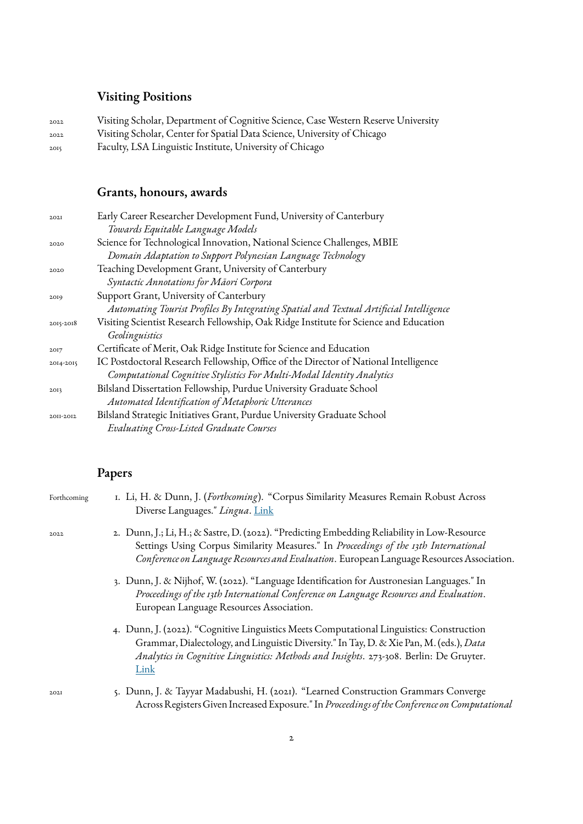# **Visiting Positions**

| 2022 | Visiting Scholar, Department of Cognitive Science, Case Western Reserve University |
|------|------------------------------------------------------------------------------------|
| 2022 | Visiting Scholar, Center for Spatial Data Science, University of Chicago           |
| 2015 | Faculty, LSA Linguistic Institute, University of Chicago                           |

# **Grants, honours, awards**

| 202I      | Early Career Researcher Development Fund, University of Canterbury                     |
|-----------|----------------------------------------------------------------------------------------|
|           | Towards Equitable Language Models                                                      |
| 2020      | Science for Technological Innovation, National Science Challenges, MBIE                |
|           | Domain Adaptation to Support Polynesian Language Technology                            |
| 2020      | Teaching Development Grant, University of Canterbury                                   |
|           | Syntactic Annotations for Maori Corpora                                                |
| 2019      | Support Grant, University of Canterbury                                                |
|           | Automating Tourist Profiles By Integrating Spatial and Textual Artificial Intelligence |
| 2015-2018 | Visiting Scientist Research Fellowship, Oak Ridge Institute for Science and Education  |
|           | Geolinguistics                                                                         |
| 2017      | Certificate of Merit, Oak Ridge Institute for Science and Education                    |
| 2014-2015 | IC Postdoctoral Research Fellowship, Office of the Director of National Intelligence   |
|           | Computational Cognitive Stylistics For Multi-Modal Identity Analytics                  |
| 2OI3      | Bilsland Dissertation Fellowship, Purdue University Graduate School                    |
|           | Automated Identification of Metaphoric Utterances                                      |
| 2011-2012 | Bilsland Strategic Initiatives Grant, Purdue University Graduate School                |
|           | <b>Evaluating Cross-Listed Graduate Courses</b>                                        |

# **Papers**

| Forthcoming | I. Li, H. & Dunn, J. (Forthcoming). "Corpus Similarity Measures Remain Robust Across<br>Diverse Languages." Lingua. Link                                                                                                                                                              |
|-------------|---------------------------------------------------------------------------------------------------------------------------------------------------------------------------------------------------------------------------------------------------------------------------------------|
| 2022        | 2. Dunn, J.; Li, H.; & Sastre, D. (2022). "Predicting Embedding Reliability in Low-Resource<br>Settings Using Corpus Similarity Measures." In Proceedings of the 13th International<br>Conference on Language Resources and Evaluation. European Language Resources Association.      |
|             | 3. Dunn, J. & Nijhof, W. (2022). "Language Identification for Austronesian Languages." In<br>Proceedings of the 13th International Conference on Language Resources and Evaluation.<br>European Language Resources Association.                                                       |
|             | 4. Dunn, J. (2022). "Cognitive Linguistics Meets Computational Linguistics: Construction<br>Grammar, Dialectology, and Linguistic Diversity." In Tay, D. & Xie Pan, M. (eds.), Data<br>Analytics in Cognitive Linguistics: Methods and Insights. 273-308. Berlin: De Gruyter.<br>Link |
| 202I        | 5. Dunn, J. & Tayyar Madabushi, H. (2021). "Learned Construction Grammars Converge<br>Across Registers Given Increased Exposure." In Proceedings of the Conference on Computational                                                                                                   |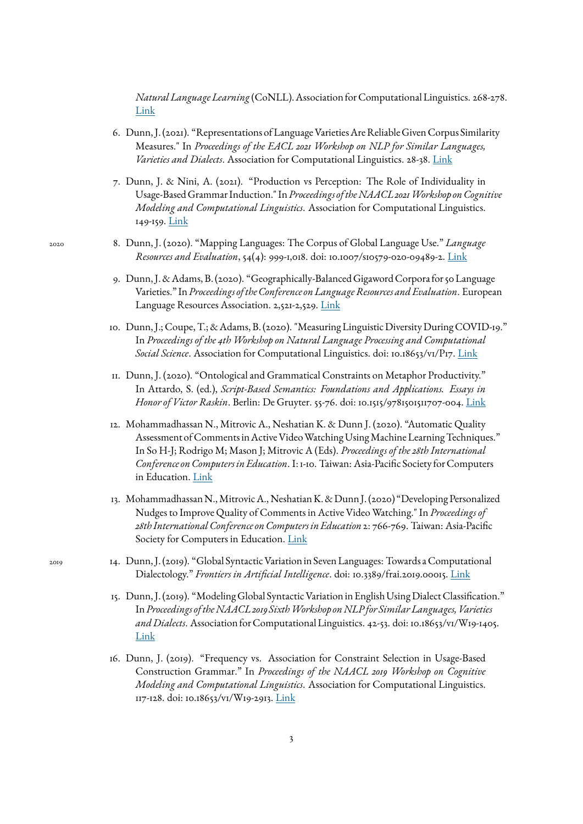*Natural Language Learning* (CoNLL). Association for Computational Linguistics. 268-278. [Link](https://jdunn.name/2021/10/13/construction-grammars-converge-given-increased-exposure/)

- 6. Dunn, J. (2021). "Representations of Language Varieties Are Reliable Given Corpus Similarity Measures." In *Proceedings of the EACL 2021 Workshop on NLP for Similar Languages, Varieties and Dialects*. Association for Computational Linguistics. 28-38. [Link](https://jdunn.name/2021/03/02/representations-of-language-varieties-are-reliable/)
- 7. Dunn, J. & Nini, A. (2021). "Production vs Perception: The Role of Individuality in Usage-Based Grammar Induction." In*Proceedings of the NAACL 2021 Workshop on Cognitive Modeling and Computational Linguistics*. Association for Computational Linguistics. 149-159. [Link](https://jdunn.name/2021/04/19/production-vs-perception-the-role-of-individuality-in-usage-based-grammar-induction/)
- <sup>2020</sup> 8. Dunn, J. (2020). "Mapping Languages: The Corpus of Global Language Use." *Language Resources and Evaluation*, 54(4): 999-1,018. doi: 10.1007/s10579-020-09489-2. [Link](https://jdunn.name/2020/03/08/mapping-languages-the-corpus-of-global-language-use/)
	- 9. Dunn, J. & Adams, B. (2020). "Geographically-Balanced Gigaword Corpora for 50 Language Varieties." In*Proceedings of the Conference on Language Resources and Evaluation*. European Language Resources Association. 2,521-2,529. [Link](https://jdunn.name/2020/03/08/geographically-balanced-gigaword-corpora-for-50-language-varieties/)
	- 10. Dunn, J.; Coupe, T.; & Adams, B. (2020). "Measuring Linguistic Diversity During COVID-19." In *Proceedings of the 4th Workshop on Natural Language Processing and Computational Social Science*. Association for Computational Linguistics. doi: 10.18653/v1/P17. [Link](https://jdunn.name/2020/10/14/measuring-linguistic-diversity-during-covid-19/)
	- 11. Dunn, J. (2020). "Ontological and Grammatical Constraints on Metaphor Productivity." In Attardo, S. (ed.), *Script-Based Semantics: Foundations and Applications. Essays in Honor of Victor Raskin*. Berlin: De Gruyter. 55-76. doi: 10.1515/9781501511707-004. [Link](https://jdunn.name/2019/04/11/ontological-and-grammatical-constraints-on-metaphor-productivity/)
	- 12. Mohammadhassan N., Mitrovic A., Neshatian K. & Dunn J. (2020). "Automatic Quality Assessment of Comments in Active Video Watching Using Machine Learning Techniques." In So H-J; Rodrigo M; Mason J; Mitrovic A (Eds). *Proceedings of the 28th International Conference on Computers in Education*. I: 1-10. Taiwan: Asia-Pacific Society for Computers in Education. [Link](https://ir.canterbury.ac.nz/handle/10092/101306)
	- 13. Mohammadhassan N., Mitrovic A., Neshatian K. & Dunn J. (2020) "Developing Personalized Nudges to Improve Quality of Comments in Active Video Watching." In *Proceedings of 28th International Conference on Computers in Education* 2: 766-769. Taiwan: Asia-Pacific Society for Computers in Education. [Link](https://apsce.net/upfile/icce2020/ICCE2020-Proceedings-Vol2-FinalUpdated.pdf)
- 2019 14. Dunn, J. (2019). "Global Syntactic Variation in Seven Languages: Towards a Computational Dialectology." *Frontiers in Artificial Intelligence*. doi: 10.3389/frai.2019.00015. [Link](https://jdunn.name/2019/07/22/global-syntactic-variation-in-seven-languages-towards-a-computational-dialectology/)
	- 15. Dunn, J. (2019). "Modeling Global Syntactic Variation in English Using Dialect Classification." In*Proceedings of the NAACL 2019 Sixth Workshop on NLP for Similar Languages, Varieties and Dialects*. Association for Computational Linguistics. 42-53. doi: 10.18653/v1/W19-1405. [Link](https://jdunn.name/2019/04/11/modeling-global-syntactic-variation-in-english-using-dialect-classification/)
	- 16. Dunn, J. (2019). "Frequency vs. Association for Constraint Selection in Usage-Based Construction Grammar." In *Proceedings of the NAACL 2019 Workshop on Cognitive Modeling and Computational Linguistics*. Association for Computational Linguistics. 117-128. doi: 10.18653/v1/W19-2913. [Link](https://jdunn.name/2019/04/11/frequency-vs-association-for-constraint-selection-in-usage-based-construction-grammar/)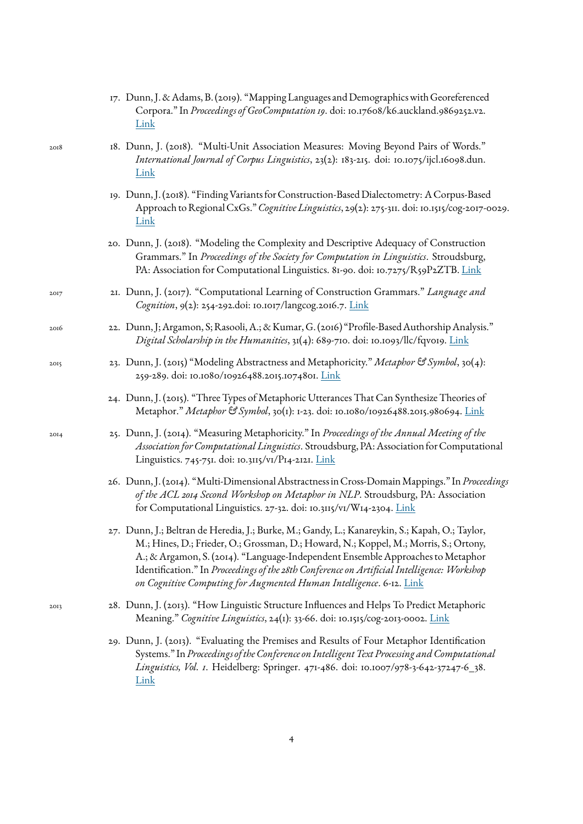|      | 17. Dunn, J. & Adams, B. (2019). "Mapping Languages and Demographics with Georeferenced<br>Corpora." In Proceedings of GeoComputation 19. doi: 10.17608/k6.auckland.9869252.v2.<br>Link                                                                                                                                                                                                                                                          |
|------|--------------------------------------------------------------------------------------------------------------------------------------------------------------------------------------------------------------------------------------------------------------------------------------------------------------------------------------------------------------------------------------------------------------------------------------------------|
| 2018 | 18. Dunn, J. (2018). "Multi-Unit Association Measures: Moving Beyond Pairs of Words."<br>International Journal of Corpus Linguistics, 23(2): 183-215. doi: 10.1075/ijcl.16098.dun.<br>Link                                                                                                                                                                                                                                                       |
|      | 19. Dunn, J. (2018). "Finding Variants for Construction-Based Dialectometry: A Corpus-Based<br>Approach to Regional CxGs." Cognitive Linguistics, 29(2): 275-311. doi: 10.1515/cog-2017-0029.<br>Link                                                                                                                                                                                                                                            |
|      | 20. Dunn, J. (2018). "Modeling the Complexity and Descriptive Adequacy of Construction<br>Grammars." In Proceedings of the Society for Computation in Linguistics. Stroudsburg,<br>PA: Association for Computational Linguistics. 81-90. doi: 10.7275/R59P2ZTB. Link                                                                                                                                                                             |
| 2017 | 21. Dunn, J. (2017). "Computational Learning of Construction Grammars." Language and<br>Cognition, 9(2): 254-292.doi: 10.1017/langcog.2016.7. Link                                                                                                                                                                                                                                                                                               |
| 2016 | 22. Dunn, J; Argamon, S; Rasooli, A.; & Kumar, G. (2016) "Profile-Based Authorship Analysis."<br>Digital Scholarship in the Humanities, 31(4): 689-710. doi: 10.1093/llc/fqv019. Link                                                                                                                                                                                                                                                            |
| 2015 | 23. Dunn, J. (2015) "Modeling Abstractness and Metaphoricity." Metaphor & Symbol, 30(4):<br>259-289. doi: 10.1080/10926488.2015.1074801. Link                                                                                                                                                                                                                                                                                                    |
|      | 24. Dunn, J. (2015). "Three Types of Metaphoric Utterances That Can Synthesize Theories of<br>Metaphor." Metaphor & Symbol, 30(1): 1-23. doi: 10.1080/10926488.2015.980694. Link                                                                                                                                                                                                                                                                 |
| 20I4 | 25. Dunn, J. (2014). "Measuring Metaphoricity." In Proceedings of the Annual Meeting of the<br>Association for Computational Linguistics. Stroudsburg, PA: Association for Computational<br>Linguistics. 745-751. doi: 10.3115/v1/P14-2121. Link                                                                                                                                                                                                 |
|      | 26. Dunn, J. (2014). "Multi-Dimensional Abstractness in Cross-Domain Mappings." In Proceedings<br>of the ACL 2014 Second Workshop on Metaphor in NLP. Stroudsburg, PA: Association<br>for Computational Linguistics. 27-32. doi: 10.3115/v1/W14-2304. Link                                                                                                                                                                                       |
|      | 27. Dunn, J.; Beltran de Heredia, J.; Burke, M.; Gandy, L.; Kanareykin, S.; Kapah, O.; Taylor,<br>M.; Hines, D.; Frieder, O.; Grossman, D.; Howard, N.; Koppel, M.; Morris, S.; Ortony,<br>A.; & Argamon, S. (2014). "Language-Independent Ensemble Approaches to Metaphor<br>Identification." In Proceedings of the 28th Conference on Artificial Intelligence: Workshop<br>on Cognitive Computing for Augmented Human Intelligence. 6-12. Link |
| 2013 | 28. Dunn, J. (2013). "How Linguistic Structure Influences and Helps To Predict Metaphoric<br>Meaning." Cognitive Linguistics, 24(1): 33-66. doi: 10.1515/cog-2013-0002. Link                                                                                                                                                                                                                                                                     |
|      | 29. Dunn, J. (2013). "Evaluating the Premises and Results of Four Metaphor Identification<br>Systems." In Proceedings of the Conference on Intelligent Text Processing and Computational<br>Linguistics, Vol. 1. Heidelberg: Springer. 471-486. doi: 10.1007/978-3-642-37247-6_38.<br>Link                                                                                                                                                       |

4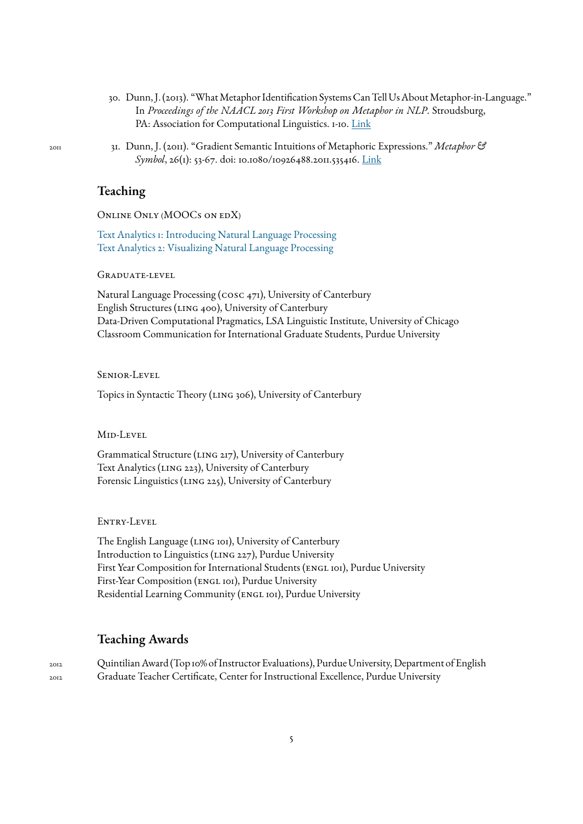- 30. Dunn, J. (2013). "What Metaphor Identification Systems Can Tell Us About Metaphor-in-Language." In *Proceedings of the NAACL 2013 First Workshop on Metaphor in NLP*. Stroudsburg, PA: Association for Computational Linguistics. 1-10. [Link](https://jdunnname.wordpress.com/2018/11/07/what-metaphor-identification-systems-can-tell-us-about-metaphor-in-language/)
- <sup>2011</sup> 31. Dunn, J. (2011). "Gradient Semantic Intuitions of Metaphoric Expressions." *Metaphor & Symbol*, 26(1): 53-67. doi: 10.1080/10926488.2011.535416. [Link](https://jdunnname.wordpress.com/2018/11/07/gradient-semantic-intuitions-of-metaphoric-expressions/)

### **Teaching**

ONLINE ONLY (MOOCS ON EDX)

[Text Analytics 1: Introducing Natural Language Processing](https://www.edx.org/course/introducing-text-analytics) [Text Analytics 2: Visualizing Natural Language Processing](https://www.edx.org/course/text-analytics-2-visualizing-natural-language-processing)

Graduate-level

Natural Language Processing (cosc 471), University of Canterbury English Structures (LING 400), University of Canterbury Data-Driven Computational Pragmatics, LSA Linguistic Institute, University of Chicago Classroom Communication for International Graduate Students, Purdue University

Senior-Level

Topics in Syntactic Theory (LING 306), University of Canterbury

Mid-Level

Grammatical Structure (LING 217), University of Canterbury Text Analytics (LING 223), University of Canterbury Forensic Linguistics (LING 225), University of Canterbury

ENTRY-LEVEL

The English Language (LING 101), University of Canterbury Introduction to Linguistics (LING 227), Purdue University First Year Composition for International Students (ENGL 101), Purdue University First-Year Composition (ENGL 101), Purdue University Residential Learning Community (ENGL 101), Purdue University

#### **Teaching Awards**

2012 Quintilian Award (Top 10% of Instructor Evaluations), Purdue University, Department of English 2012 Graduate Teacher Certificate, Center for Instructional Excellence, Purdue University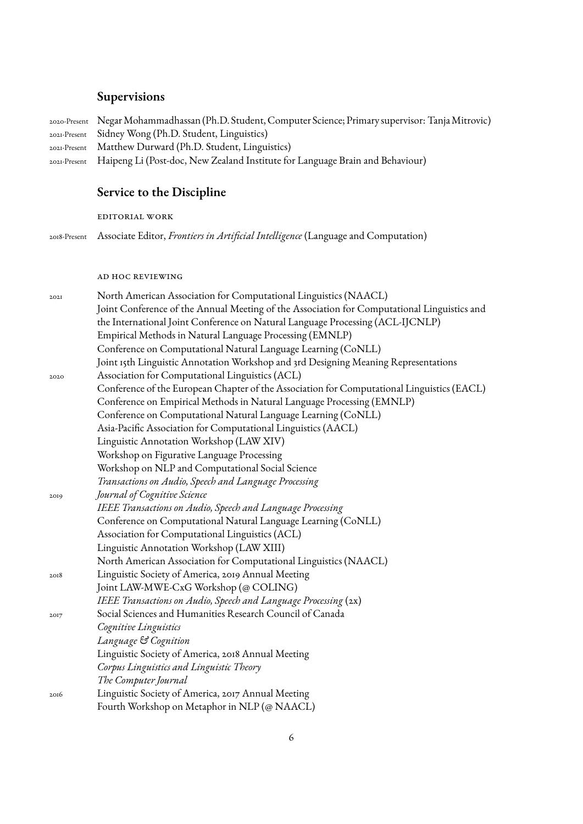### **Supervisions**

| 2020-Present Negar Mohammadhassan (Ph.D. Student, Computer Science; Primary supervisor: Tanja Mitrovic) |
|---------------------------------------------------------------------------------------------------------|
| 2021-Present Sidney Wong (Ph.D. Student, Linguistics)                                                   |
| 2021-Present Matthew Durward (Ph.D. Student, Linguistics)                                               |
| 2021-Present Haipeng Li (Post-doc, New Zealand Institute for Language Brain and Behaviour)              |
|                                                                                                         |

# **Service to the Discipline**

editorial work

2018-Present Associate Editor, *Frontiers in Artificial Intelligence* (Language and Computation)

#### ad hoc reviewing

| 202I | North American Association for Computational Linguistics (NAACL)                            |
|------|---------------------------------------------------------------------------------------------|
|      | Joint Conference of the Annual Meeting of the Association for Computational Linguistics and |
|      | the International Joint Conference on Natural Language Processing (ACL-IJCNLP)              |
|      | Empirical Methods in Natural Language Processing (EMNLP)                                    |
|      | Conference on Computational Natural Language Learning (CoNLL)                               |
|      | Joint 15th Linguistic Annotation Workshop and 3rd Designing Meaning Representations         |
| 2020 | Association for Computational Linguistics (ACL)                                             |
|      | Conference of the European Chapter of the Association for Computational Linguistics (EACL)  |
|      | Conference on Empirical Methods in Natural Language Processing (EMNLP)                      |
|      | Conference on Computational Natural Language Learning (CoNLL)                               |
|      | Asia-Pacific Association for Computational Linguistics (AACL)                               |
|      | Linguistic Annotation Workshop (LAW XIV)                                                    |
|      | Workshop on Figurative Language Processing                                                  |
|      | Workshop on NLP and Computational Social Science                                            |
|      | Transactions on Audio, Speech and Language Processing                                       |
| 2019 | Journal of Cognitive Science                                                                |
|      | IEEE Transactions on Audio, Speech and Language Processing                                  |
|      | Conference on Computational Natural Language Learning (CoNLL)                               |
|      | Association for Computational Linguistics (ACL)                                             |
|      | Linguistic Annotation Workshop (LAW XIII)                                                   |
|      | North American Association for Computational Linguistics (NAACL)                            |
| 2018 | Linguistic Society of America, 2019 Annual Meeting                                          |
|      | Joint LAW-MWE-CxG Workshop (@ COLING)                                                       |
|      | IEEE Transactions on Audio, Speech and Language Processing (2x)                             |
| 2017 | Social Sciences and Humanities Research Council of Canada                                   |
|      | Cognitive Linguistics                                                                       |
|      | Language & Cognition                                                                        |
|      | Linguistic Society of America, 2018 Annual Meeting                                          |
|      | Corpus Linguistics and Linguistic Theory                                                    |
|      | The Computer Journal                                                                        |
| 2016 | Linguistic Society of America, 2017 Annual Meeting                                          |
|      | Fourth Workshop on Metaphor in NLP (@ NAACL)                                                |
|      |                                                                                             |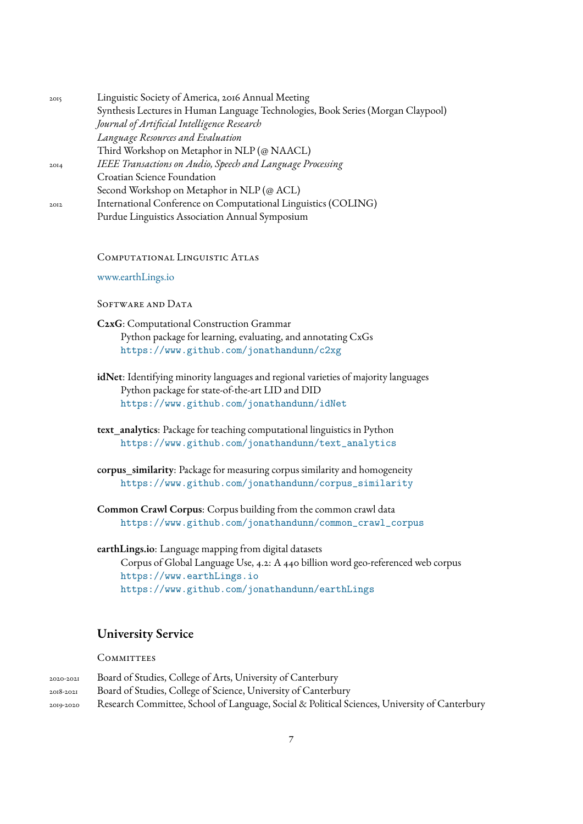| 2015 | Linguistic Society of America, 2016 Annual Meeting                               |
|------|----------------------------------------------------------------------------------|
|      | Synthesis Lectures in Human Language Technologies, Book Series (Morgan Claypool) |
|      | Journal of Artificial Intelligence Research                                      |
|      | Language Resources and Evaluation                                                |
|      | Third Workshop on Metaphor in NLP (@ NAACL)                                      |
| 20I4 | IEEE Transactions on Audio, Speech and Language Processing                       |
|      | Croatian Science Foundation                                                      |
|      | Second Workshop on Metaphor in NLP (@ ACL)                                       |
| 2012 | International Conference on Computational Linguistics (COLING)                   |
|      | Purdue Linguistics Association Annual Symposium                                  |

Computational Linguistic Atlas

[www.earthLings.io](https://www.earthlings.io)

SOFTWARE AND DATA

**C2xG**: Computational Construction Grammar Python package for learning, evaluating, and annotating CxGs <https://www.github.com/jonathandunn/c2xg>

- **idNet**: Identifying minority languages and regional varieties of majority languages Python package for state-of-the-art LID and DID <https://www.github.com/jonathandunn/idNet>
- **text\_analytics**: Package for teaching computational linguistics in Python [https://www.github.com/jonathandunn/text\\_analytics](https://www.github.com/jonathandunn/text_analytics)
- **corpus\_similarity**: Package for measuring corpus similarity and homogeneity [https://www.github.com/jonathandunn/corpus\\_similarity](https://www.github.com/jonathandunn/corpus_similarity)

**Common Crawl Corpus**: Corpus building from the common crawl data [https://www.github.com/jonathandunn/common\\_crawl\\_corpus](https://www.github.com/jonathandunn/common_crawl_corpus)

**earthLings.io**: Language mapping from digital datasets Corpus of Global Language Use, 4.2: A 440 billion word geo-referenced web corpus <https://www.earthLings.io> <https://www.github.com/jonathandunn/earthLings>

### **University Service**

#### **COMMITTEES**

| 2020-2021 | Board of Studies, College of Arts, University of Canterbury                                   |
|-----------|-----------------------------------------------------------------------------------------------|
| 2018-2021 | Board of Studies, College of Science, University of Canterbury                                |
| 2019-2020 | Research Committee, School of Language, Social & Political Sciences, University of Canterbury |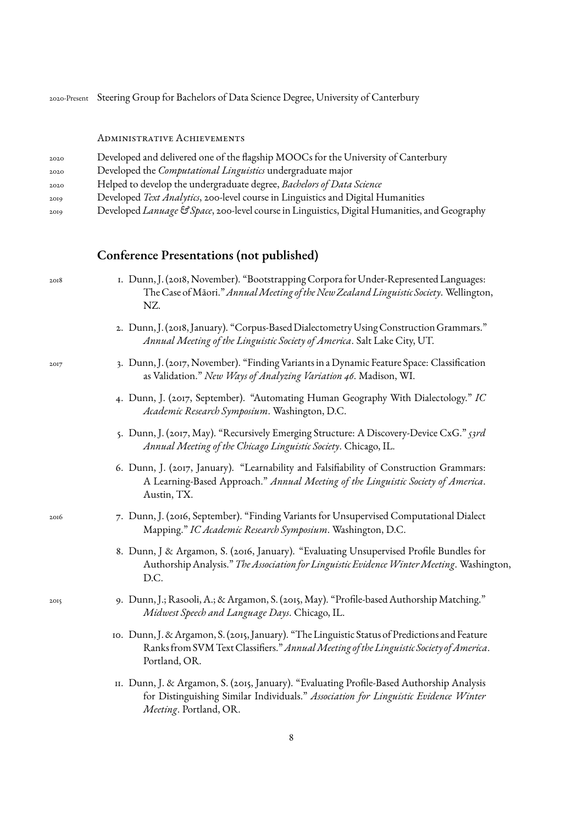| 2020-Present Steering Group for Bachelors of Data Science Degree, University of Canterbury |  |  |  |  |  |  |
|--------------------------------------------------------------------------------------------|--|--|--|--|--|--|
|                                                                                            |  |  |  |  |  |  |

Administrative Achievements

| 2020 |  | Developed and delivered one of the flagship MOOCs for the University of Canterbury |
|------|--|------------------------------------------------------------------------------------|
|      |  |                                                                                    |

- <sup>2020</sup> Developed the *Computational Linguistics* undergraduate major
- <sup>2020</sup> Helped to develop the undergraduate degree, *Bachelors of Data Science*
- <sup>2019</sup> Developed *Text Analytics*, 200-level course in Linguistics and Digital Humanities
- <sup>2019</sup> Developed *Lanuage & Space*, 200-level course in Linguistics, Digital Humanities, and Geography

#### **Conference Presentations (not published)**

2018 1. Dunn, J. (2018, November). "Bootstrapping Corpora for Under-Represented Languages: The Case of Māori." Annual Meeting of the New Zealand Linguistic Society. Wellington, NZ.

- 2. Dunn, J. (2018, January). "Corpus-Based Dialectometry Using Construction Grammars." *Annual Meeting of the Linguistic Society of America*. Salt Lake City, UT.
- 2017 3. Dunn, J. (2017, November). "Finding Variants in a Dynamic Feature Space: Classification as Validation." *New Ways of Analyzing Variation 46*. Madison, WI.
	- 4. Dunn, J. (2017, September). "Automating Human Geography With Dialectology." *IC Academic Research Symposium*. Washington, D.C.
	- 5. Dunn, J. (2017, May). "Recursively Emerging Structure: A Discovery-Device CxG." *53rd Annual Meeting of the Chicago Linguistic Society*. Chicago, IL.
	- 6. Dunn, J. (2017, January). "Learnability and Falsifiability of Construction Grammars: A Learning-Based Approach." *Annual Meeting of the Linguistic Society of America*. Austin, TX.
- 2016 7. Dunn, J. (2016, September). "Finding Variants for Unsupervised Computational Dialect Mapping." *IC Academic Research Symposium*. Washington, D.C.
	- 8. Dunn, J & Argamon, S. (2016, January). "Evaluating Unsupervised Profile Bundles for Authorship Analysis."*The Association for Linguistic Evidence Winter Meeting*. Washington, D.C.
- 2015 9. Dunn, J.; Rasooli, A.; & Argamon, S. (2015, May). "Profile-based Authorship Matching." *Midwest Speech and Language Days*. Chicago, IL.
	- 10. Dunn, J. & Argamon, S. (2015, January). "The Linguistic Status of Predictions and Feature Ranks from SVM Text Classifiers."*Annual Meeting of the Linguistic Society of America*. Portland, OR.
	- 11. Dunn, J. & Argamon, S. (2015, January). "Evaluating Profile-Based Authorship Analysis for Distinguishing Similar Individuals." *Association for Linguistic Evidence Winter Meeting*. Portland, OR.